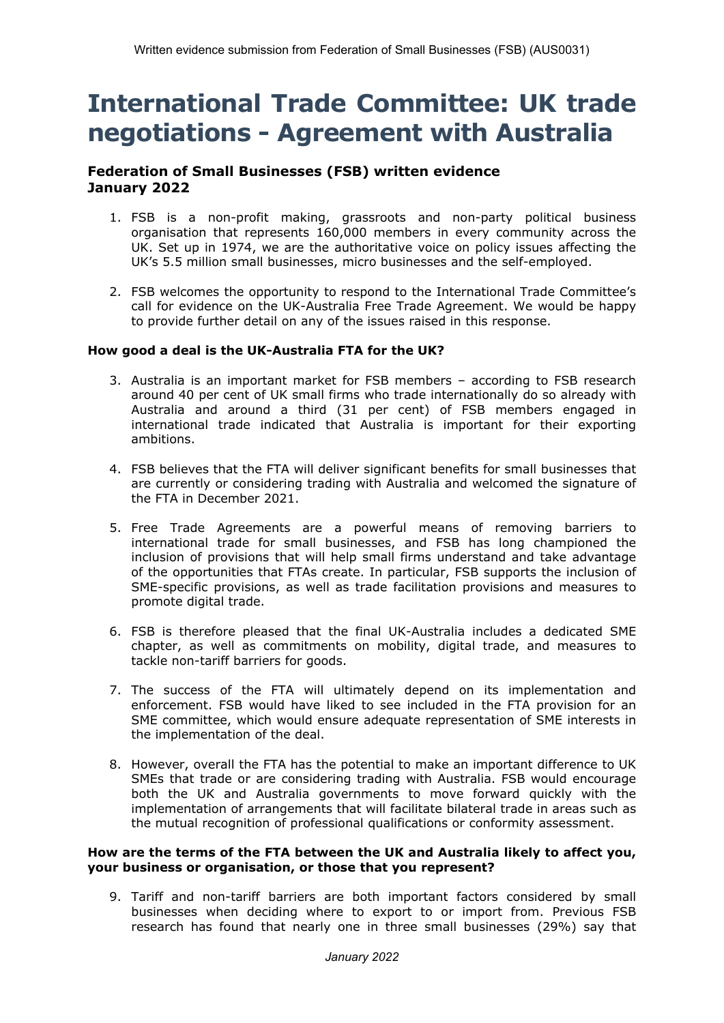# **International Trade Committee: UK trade negotiations - Agreement with Australia**

## **Federation of Small Businesses (FSB) written evidence January 2022**

- 1. FSB is a non-profit making, grassroots and non-party political business organisation that represents 160,000 members in every community across the UK. Set up in 1974, we are the authoritative voice on policy issues affecting the UK's 5.5 million small businesses, micro businesses and the self-employed.
- 2. FSB welcomes the opportunity to respond to the International Trade Committee's call for evidence on the UK-Australia Free Trade Agreement. We would be happy to provide further detail on any of the issues raised in this response.

## **How good a deal is the UK-Australia FTA for the UK?**

- 3. Australia is an important market for FSB members according to FSB research around 40 per cent of UK small firms who trade internationally do so already with Australia and around a third (31 per cent) of FSB members engaged in international trade indicated that Australia is important for their exporting ambitions.
- 4. FSB believes that the FTA will deliver significant benefits for small businesses that are currently or considering trading with Australia and welcomed the signature of the FTA in December 2021.
- 5. Free Trade Agreements are a powerful means of removing barriers to international trade for small businesses, and FSB has long championed the inclusion of provisions that will help small firms understand and take advantage of the opportunities that FTAs create. In particular, FSB supports the inclusion of SME-specific provisions, as well as trade facilitation provisions and measures to promote digital trade.
- 6. FSB is therefore pleased that the final UK-Australia includes a dedicated SME chapter, as well as commitments on mobility, digital trade, and measures to tackle non-tariff barriers for goods.
- 7. The success of the FTA will ultimately depend on its implementation and enforcement. FSB would have liked to see included in the FTA provision for an SME committee, which would ensure adequate representation of SME interests in the implementation of the deal.
- 8. However, overall the FTA has the potential to make an important difference to UK SMEs that trade or are considering trading with Australia. FSB would encourage both the UK and Australia governments to move forward quickly with the implementation of arrangements that will facilitate bilateral trade in areas such as the mutual recognition of professional qualifications or conformity assessment.

#### **How are the terms of the FTA between the UK and Australia likely to affect you, your business or organisation, or those that you represent?**

9. Tariff and non-tariff barriers are both important factors considered by small businesses when deciding where to export to or import from. Previous FSB research has found that nearly one in three small businesses (29%) say that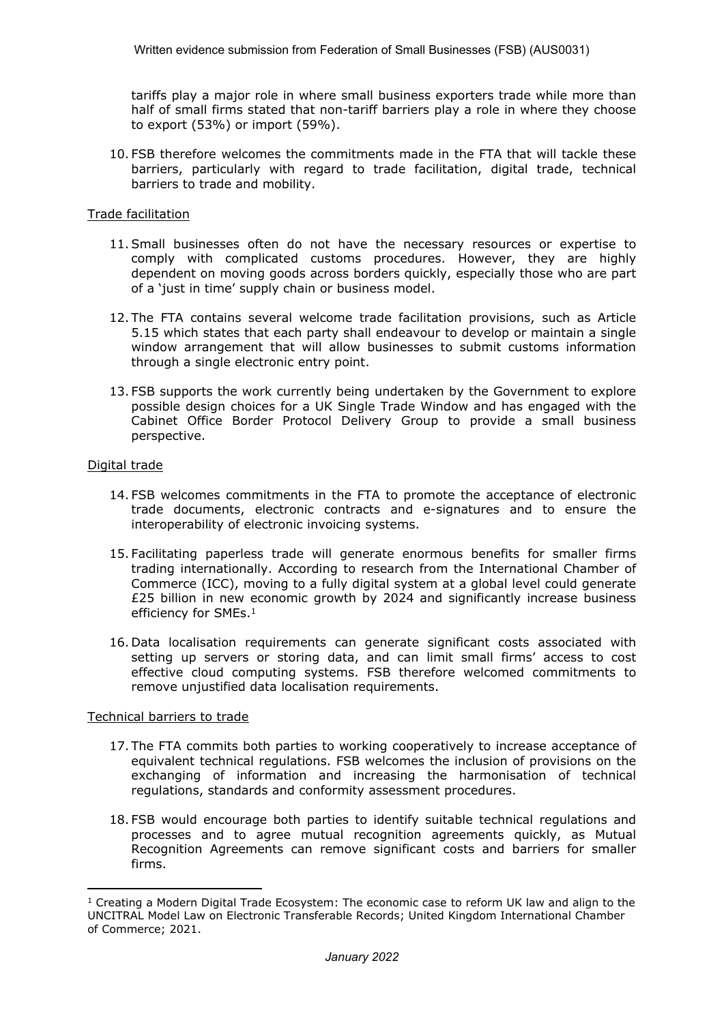tariffs play a major role in where small business exporters trade while more than half of small firms stated that non-tariff barriers play a role in where they choose to export (53%) or import (59%).

10. FSB therefore welcomes the commitments made in the FTA that will tackle these barriers, particularly with regard to trade facilitation, digital trade, technical barriers to trade and mobility.

#### Trade facilitation

- 11.Small businesses often do not have the necessary resources or expertise to comply with complicated customs procedures. However, they are highly dependent on moving goods across borders quickly, especially those who are part of a 'just in time' supply chain or business model.
- 12. The FTA contains several welcome trade facilitation provisions, such as Article 5.15 which states that each party shall endeavour to develop or maintain a single window arrangement that will allow businesses to submit customs information through a single electronic entry point.
- 13. FSB supports the work currently being undertaken by the Government to explore possible design choices for a UK Single Trade Window and has engaged with the Cabinet Office Border Protocol Delivery Group to provide a small business perspective.

#### Digital trade

- 14. FSB welcomes commitments in the FTA to promote the acceptance of electronic trade documents, electronic contracts and e-signatures and to ensure the interoperability of electronic invoicing systems.
- 15. Facilitating paperless trade will generate enormous benefits for smaller firms trading internationally. According to research from the International Chamber of Commerce (ICC), moving to a fully digital system at a global level could generate £25 billion in new economic growth by 2024 and significantly increase business efficiency for SMEs.<sup>1</sup>
- 16. Data localisation requirements can generate significant costs associated with setting up servers or storing data, and can limit small firms' access to cost effective cloud computing systems. FSB therefore welcomed commitments to remove unjustified data localisation requirements.

#### Technical barriers to trade

- 17. The FTA commits both parties to working cooperatively to increase acceptance of equivalent technical regulations. FSB welcomes the inclusion of provisions on the exchanging of information and increasing the harmonisation of technical regulations, standards and conformity assessment procedures.
- 18. FSB would encourage both parties to identify suitable technical regulations and processes and to agree mutual recognition agreements quickly, as Mutual Recognition Agreements can remove significant costs and barriers for smaller firms.

 $1$  Creating a Modern Digital Trade Ecosystem: The economic case to reform UK law and align to the UNCITRAL Model Law on Electronic Transferable Records; United Kingdom International Chamber of Commerce; 2021.